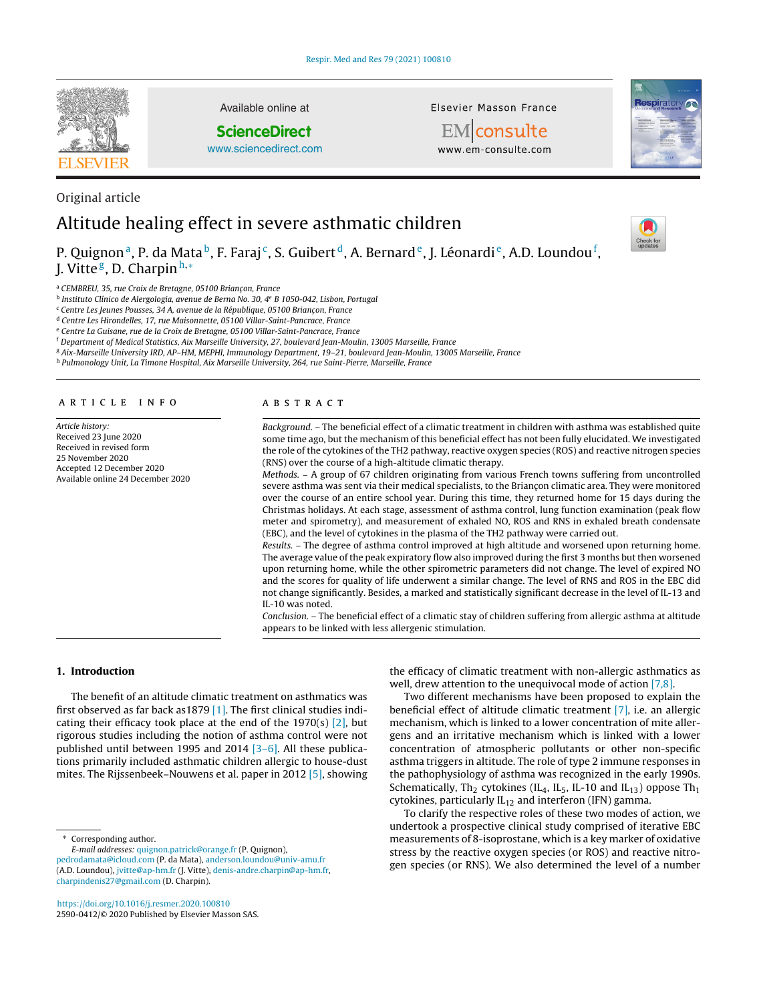

Available online at

# **ScienceDirect**

[www.sciencedirect.com](http://www.sciencedirect.com/science/journal/25900412)

Elsevier Masson France

EMconsulte www.em-consulte.com



# Original article Altitude healing effect in severe asthmatic children

P. Quignonª, P. da Mataʰ, F. Faraj¢, S. Guibertd, A. Bernard®, J. Léonardi®, A.D. Loundou<sup>f</sup>, J. Vitte<sup>g</sup>, D. Charpin<sup>h,∗</sup>

<sup>a</sup> CEMBREU, 35, rue Croix de Bretagne, 05100 Briançon, France

<sup>b</sup> Instituto Clínico de Alergologia, avenue de Berna No. 30, 4e B 1050-042, Lisbon, Portugal

<sup>c</sup> Centre Les Jeunes Pousses, 34 A, avenue de la République, 05100 Briançon, France

<sup>d</sup> Centre Les Hirondelles, 17, rue Maisonnette, 05100 Villar-Saint-Pancrace, France

<sup>e</sup> Centre La Guisane, rue de la Croix de Bretagne, 05100 Villar-Saint-Pancrace, France

<sup>f</sup> Department of Medical Statistics, Aix Marseille University, 27, boulevard Jean-Moulin, 13005 Marseille, France

<sup>g</sup> Aix-Marseille University IRD, AP–HM, MEPHI, Immunology Department, 19–21, boulevard Jean-Moulin, 13005 Marseille, France

h Pulmonology Unit, La Timone Hospital, Aix Marseille University, 264, rue Saint-Pierre, Marseille, France

#### a r t i c l e i n f o

Article history: Received 23 June 2020 Received in revised form 25 November 2020 Accepted 12 December 2020 Available online 24 December 2020

#### A B S T R A C T

Background. – The beneficial effect of a climatic treatment in children with asthma was established quite some time ago, but the mechanism of this beneficial effect has not been fully elucidated. We investigated the role of the cytokines of the TH2 pathway, reactive oxygen species (ROS) and reactive nitrogen species (RNS) over the course of a high-altitude climatic therapy.

Methods. – A group of 67 children originating from various French towns suffering from uncontrolled severe asthma was sent via their medical specialists, to the Briançon climatic area. They were monitored over the course of an entire school year. During this time, they returned home for 15 days during the Christmas holidays. At each stage, assessment of asthma control, lung function examination (peak flow meter and spirometry), and measurement of exhaled NO, ROS and RNS in exhaled breath condensate (EBC), and the level of cytokines in the plasma of the TH2 pathway were carried out.

Results. – The degree of asthma control improved at high altitude and worsened upon returning home. The average value of the peak expiratory flow also improved during the first 3 months but then worsened upon returning home, while the other spirometric parameters did not change. The level of expired NO and the scores for quality of life underwent a similar change. The level of RNS and ROS in the EBC did not change significantly. Besides, a marked and statistically significant decrease in the level of IL-13 and IL-10 was noted.

Conclusion. – The beneficial effect of a climatic stay of children suffering from allergic asthma at altitude appears to be linked with less allergenic stimulation.

# **1. Introduction**

The benefit of an altitude climatic treatment on asthmatics was first observed as far back as1879 [\[1\].](#page-5-0) The first clinical studies indicating their efficacy took place at the end of the 1970(s)  $[2]$ , but rigorous studies including the notion of asthma control were not published until between 1995 and 2014 [\[3–6\].](#page-5-0) All these publications primarily included asthmatic children allergic to house-dust mites. The Rijssenbeek–Nouwens et al. paper in 2012 [\[5\],](#page-5-0) showing

Corresponding author.

E-mail addresses: [quignon.patrick@orange.fr](mailto:quignon.patrick@orange.fr) (P. Quignon),

<https://doi.org/10.1016/j.resmer.2020.100810> 2590-0412/© 2020 Published by Elsevier Masson SAS. the efficacy of climatic treatment with non-allergic asthmatics as well, drew attention to the unequivocal mode of action [\[7,8\].](#page-5-0)

Two different mechanisms have been proposed to explain the beneficial effect of altitude climatic treatment [\[7\],](#page-5-0) i.e. an allergic mechanism, which is linked to a lower concentration of mite allergens and an irritative mechanism which is linked with a lower concentration of atmospheric pollutants or other non-specific asthma triggers in altitude. The role of type 2 immune responses in the pathophysiology of asthma was recognized in the early 1990s. Schematically, Th<sub>2</sub> cytokines (IL<sub>4</sub>, IL<sub>5</sub>, IL-10 and IL<sub>13</sub>) oppose Th<sub>1</sub> cytokines, particularly  $IL_{12}$  and interferon (IFN) gamma.

To clarify the respective roles of these two modes of action, we undertook a prospective clinical study comprised of iterative EBC measurements of 8-isoprostane, which is a key marker of oxidative stress by the reactive oxygen species (or ROS) and reactive nitrogen species (or RNS). We also determined the level of a number



[pedrodamata@icloud.com](mailto:pedrodamata@icloud.com) (P. da Mata), [anderson.loundou@univ-amu.fr](mailto:anderson.loundou@univ-amu.fr) (A.D. Loundou), [jvitte@ap-hm.fr](mailto:jvitte@ap-hm.fr) (J. Vitte), [denis-andre.charpin@ap-hm.fr](mailto:denis-andre.charpin@ap-hm.fr), [charpindenis27@gmail.com](mailto:charpindenis27@gmail.com) (D. Charpin).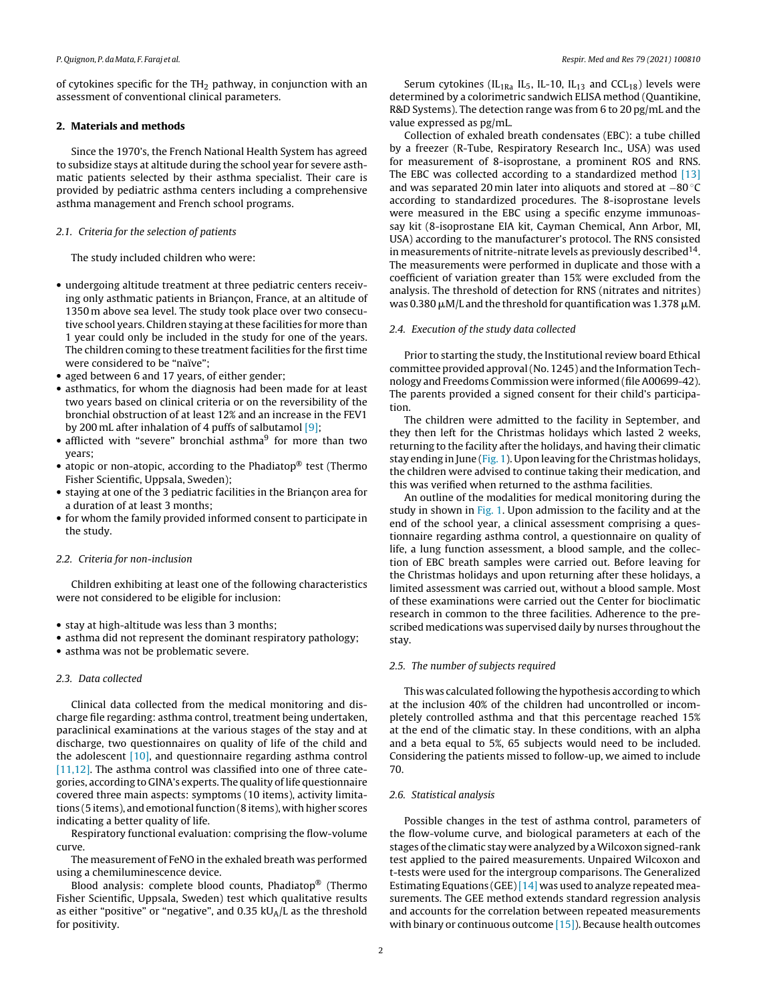of cytokines specific for the  $TH_2$  pathway, in conjunction with an assessment of conventional clinical parameters.

# **2. Materials and methods**

Since the 1970's, the French National Health System has agreed to subsidize stays at altitude during the school year for severe asthmatic patients selected by their asthma specialist. Their care is provided by pediatric asthma centers including a comprehensive asthma management and French school programs.

# 2.1. Criteria for the selection of patients

The study included children who were:

- undergoing altitude treatment at three pediatric centers receiving only asthmatic patients in Briançon, France, at an altitude of 1350 m above sea level. The study took place over two consecutive school years. Children staying at these facilities for more than 1 year could only be included in the study for one of the years. The children coming to these treatment facilities for the first time were considered to be "naïve";
- aged between 6 and 17 years, of either gender;
- asthmatics, for whom the diagnosis had been made for at least two years based on clinical criteria or on the reversibility of the bronchial obstruction of at least 12% and an increase in the FEV1 by 200 mL after inhalation of 4 puffs of salbutamol  $[9]$ ;
- afflicted with "severe" bronchial asthma<sup>9</sup> for more than two years;
- atopic or non-atopic, according to the Phadiatop® test (Thermo Fisher Scientific, Uppsala, Sweden);
- staying at one of the 3 pediatric facilities in the Briançon area for a duration of at least 3 months;
- for whom the family provided informed consent to participate in the study.

# 2.2. Criteria for non-inclusion

Children exhibiting at least one of the following characteristics were not considered to be eligible for inclusion:

- stay at high-altitude was less than 3 months;
- asthma did not represent the dominant respiratory pathology;
- asthma was not be problematic severe.

# 2.3. Data collected

Clinical data collected from the medical monitoring and discharge file regarding: asthma control, treatment being undertaken, paraclinical examinations at the various stages of the stay and at discharge, two questionnaires on quality of life of the child and the adolescent [\[10\],](#page-5-0) and questionnaire regarding asthma control [\[11,12\].](#page-5-0) The asthma control was classified into one of three categories, according to GINA's experts. The quality of life questionnaire covered three main aspects: symptoms (10 items), activity limitations (5 items), and emotional function (8 items), with higher scores indicating a better quality of life.

Respiratory functional evaluation: comprising the flow-volume curve.

The measurement of FeNO in the exhaled breath was performed using a chemiluminescence device.

Blood analysis: complete blood counts, Phadiatop® (Thermo Fisher Scientific, Uppsala, Sweden) test which qualitative results as either "positive" or "negative", and 0.35  $kU_A/L$  as the threshold for positivity.

Serum cytokines ( $IL<sub>1Ra</sub>$  IL<sub>5</sub>, IL-10, IL<sub>13</sub> and CCL<sub>18</sub>) levels were determined by a colorimetric sandwich ELISA method (Quantikine, R&D Systems). The detection range was from 6 to 20 pg/mL and the value expressed as pg/mL.

Collection of exhaled breath condensates (EBC): a tube chilled by a freezer (R-Tube, Respiratory Research Inc., USA) was used for measurement of 8-isoprostane, a prominent ROS and RNS. The EBC was collected according to a standardized method [\[13\]](#page-5-0) and was separated 20 min later into aliquots and stored at −80 ◦C according to standardized procedures. The 8-isoprostane levels were measured in the EBC using a specific enzyme immunoassay kit (8-isoprostane EIA kit, Cayman Chemical, Ann Arbor, MI, USA) according to the manufacturer's protocol. The RNS consisted in measurements of nitrite-nitrate levels as previously described  $14$ . The measurements were performed in duplicate and those with a coefficient of variation greater than 15% were excluded from the analysis. The threshold of detection for RNS (nitrates and nitrites) was 0.380  $\mu$ M/L and the threshold for quantification was 1.378  $\mu$ M.

# 2.4. Execution of the study data collected

Prior to starting the study, the Institutional review board Ethical committee provided approval(No. 1245) and the Information Technology and Freedoms Commission were informed (file A00699-42). The parents provided a signed consent for their child's participation.

The children were admitted to the facility in September, and they then left for the Christmas holidays which lasted 2 weeks, returning to the facility after the holidays, and having their climatic stay ending in June ([Fig.](#page-2-0) 1). Upon leaving for the Christmas holidays, the children were advised to continue taking their medication, and this was verified when returned to the asthma facilities.

An outline of the modalities for medical monitoring during the study in shown in [Fig.](#page-2-0) 1. Upon admission to the facility and at the end of the school year, a clinical assessment comprising a questionnaire regarding asthma control, a questionnaire on quality of life, a lung function assessment, a blood sample, and the collection of EBC breath samples were carried out. Before leaving for the Christmas holidays and upon returning after these holidays, a limited assessment was carried out, without a blood sample. Most of these examinations were carried out the Center for bioclimatic research in common to the three facilities. Adherence to the prescribed medications was supervised daily by nurses throughout the stay.

# 2.5. The number of subjects required

This was calculated following the hypothesis according to which at the inclusion 40% of the children had uncontrolled or incompletely controlled asthma and that this percentage reached 15% at the end of the climatic stay. In these conditions, with an alpha and a beta equal to 5%, 65 subjects would need to be included. Considering the patients missed to follow-up, we aimed to include 70.

# 2.6. Statistical analysis

Possible changes in the test of asthma control, parameters of the flow-volume curve, and biological parameters at each of the stages of the climatic stay were analyzed by a Wilcoxon signed-rank test applied to the paired measurements. Unpaired Wilcoxon and t-tests were used for the intergroup comparisons. The Generalized Estimating Equations (GEE)  $[14]$  was used to analyze repeated measurements. The GEE method extends standard regression analysis and accounts for the correlation between repeated measurements with binary or continuous outcome [\[15\]\).](#page-5-0) Because health outcomes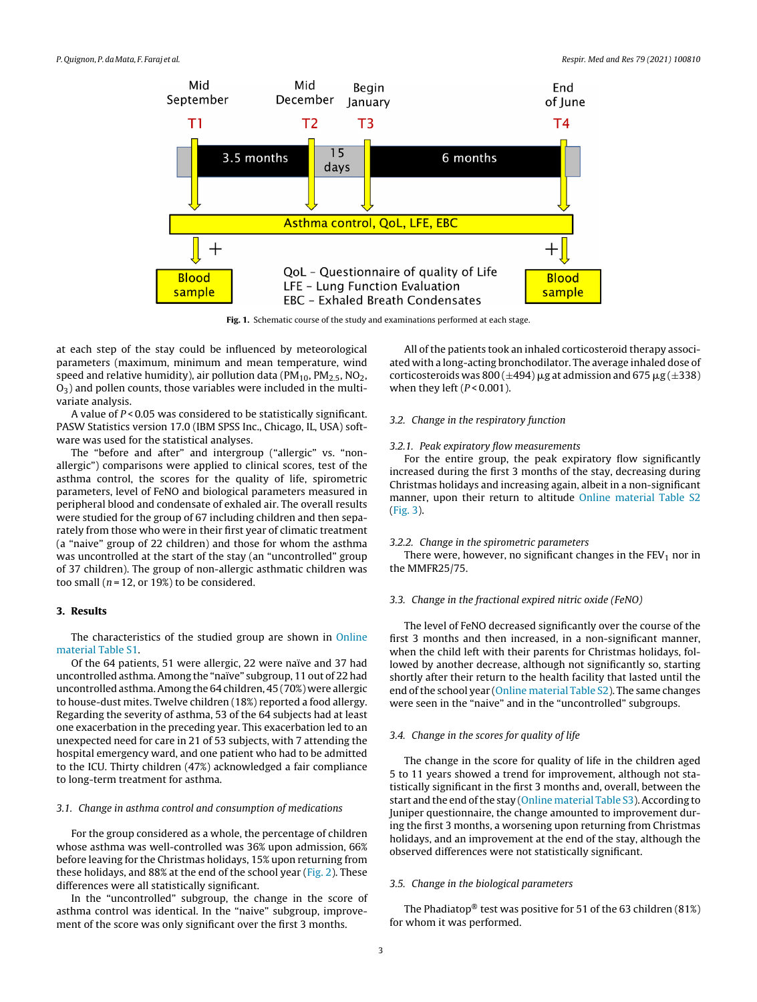<span id="page-2-0"></span>

**Fig. 1.** Schematic course of the study and examinations performed at each stage.

at each step of the stay could be influenced by meteorological parameters (maximum, minimum and mean temperature, wind speed and relative humidity), air pollution data ( $PM<sub>10</sub>$ ,  $PM<sub>2.5</sub>$ , NO<sub>2</sub>,  $O<sub>3</sub>$ ) and pollen counts, those variables were included in the multivariate analysis.

A value of  $P < 0.05$  was considered to be statistically significant. PASW Statistics version 17.0 (IBM SPSS Inc., Chicago, IL, USA) software was used for the statistical analyses.

The "before and after" and intergroup ("allergic" vs. "nonallergic") comparisons were applied to clinical scores, test of the asthma control, the scores for the quality of life, spirometric parameters, level of FeNO and biological parameters measured in peripheral blood and condensate of exhaled air. The overall results were studied for the group of 67 including children and then separately from those who were in their first year of climatic treatment (a "naive" group of 22 children) and those for whom the asthma was uncontrolled at the start of the stay (an "uncontrolled" group of 37 children). The group of non-allergic asthmatic children was too small ( $n = 12$ , or 19%) to be considered.

# **3. Results**

The characteristics of the studied group are shown in [Online](#page-5-0) [material](#page-5-0) [Table](#page-5-0) [S1.](#page-5-0)

Of the 64 patients, 51 were allergic, 22 were naïve and 37 had uncontrolled asthma.Among the "naïve" subgroup, 11 out of 22 had uncontrolled asthma.Among the 64 children, 45 (70%) were allergic to house-dust mites. Twelve children (18%) reported a food allergy. Regarding the severity of asthma, 53 of the 64 subjects had at least one exacerbation in the preceding year. This exacerbation led to an unexpected need for care in 21 of 53 subjects, with 7 attending the hospital emergency ward, and one patient who had to be admitted to the ICU. Thirty children (47%) acknowledged a fair compliance to long-term treatment for asthma.

# 3.1. Change in asthma control and consumption of medications

For the group considered as a whole, the percentage of children whose asthma was well-controlled was 36% upon admission, 66% before leaving for the Christmas holidays, 15% upon returning from these holidays, and 88% at the end of the school year ([Fig.](#page-3-0) 2). These differences were all statistically significant.

In the "uncontrolled" subgroup, the change in the score of asthma control was identical. In the "naive" subgroup, improvement of the score was only significant over the first 3 months.

All of the patients took an inhaled corticosteroid therapy associated with a long-acting bronchodilator. The average inhaled dose of corticosteroids was  $800 (\pm 494)$   $\mu$ g at admission and 675  $\mu$ g $(\pm 338)$ when they left  $(P< 0.001)$ .

# 3.2. Change in the respiratory function

#### 3.2.1. Peak expiratory flow measurements

For the entire group, the peak expiratory flow significantly increased during the first 3 months of the stay, decreasing during Christmas holidays and increasing again, albeit in a non-significant manner, upon their return to altitude [Online](#page-5-0) [material](#page-5-0) [Table](#page-5-0) [S2](#page-5-0) ([Fig.](#page-3-0) 3).

# 3.2.2. Change in the spirometric parameters

There were, however, no significant changes in the  $FEV<sub>1</sub>$  nor in the MMFR25/75.

# 3.3. Change in the fractional expired nitric oxide (FeNO)

The level of FeNO decreased significantly over the course of the first 3 months and then increased, in a non-significant manner, when the child left with their parents for Christmas holidays, followed by another decrease, although not significantly so, starting shortly after their return to the health facility that lasted until the end ofthe school year [\(Online](#page-5-0) [material](#page-5-0) [Table](#page-5-0) [S2\).](#page-5-0) The same changes were seen in the "naive" and in the "uncontrolled" subgroups.

# 3.4. Change in the scores for quality of life

The change in the score for quality of life in the children aged 5 to 11 years showed a trend for improvement, although not statistically significant in the first 3 months and, overall, between the start and the end of the stay [\(Online](#page-5-0) [material](#page-5-0) [Table](#page-5-0) [S3\).](#page-5-0) According to Juniper questionnaire, the change amounted to improvement during the first 3 months, a worsening upon returning from Christmas holidays, and an improvement at the end of the stay, although the observed differences were not statistically significant.

#### 3.5. Change in the biological parameters

The Phadiatop® test was positive for 51 of the 63 children (81%) for whom it was performed.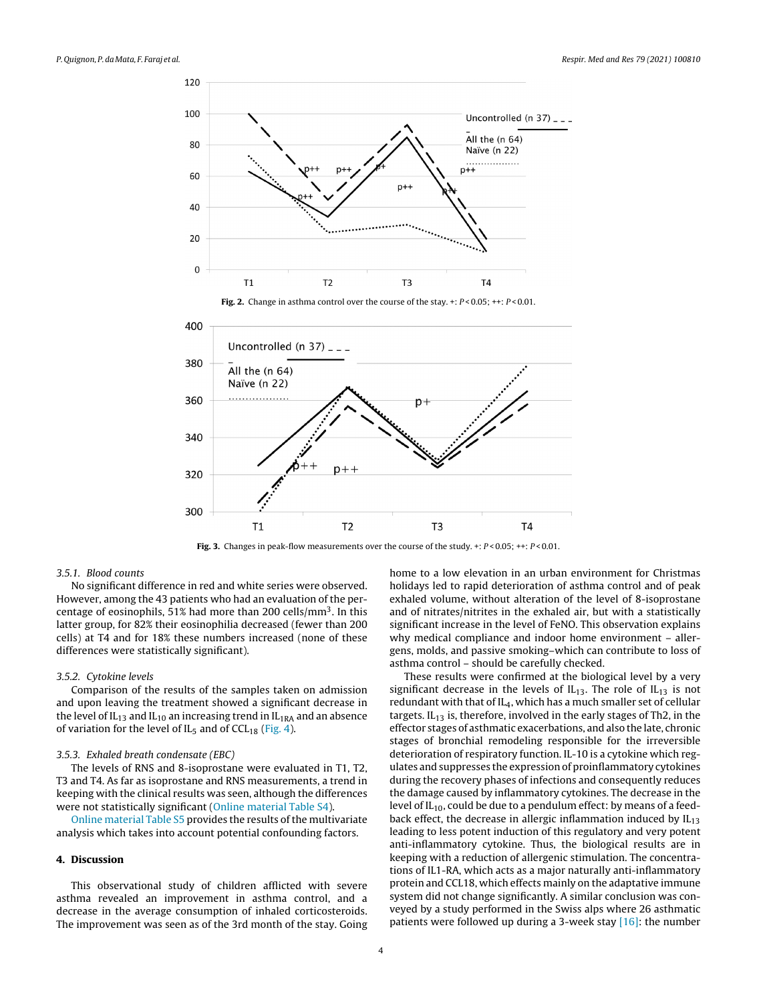<span id="page-3-0"></span>

**Fig. 3.** Changes in peak-flow measurements over the course of the study. +:  $P < 0.05$ ; ++:  $P < 0.01$ .

# 3.5.1. Blood counts

No significant difference in red and white series were observed. However, among the 43 patients who had an evaluation of the percentage of eosinophils, 51% had more than 200 cells/ $\text{mm}^3$ . In this latter group, for 82% their eosinophilia decreased (fewer than 200 cells) at T4 and for 18% these numbers increased (none of these differences were statistically significant).

#### 3.5.2. Cytokine levels

Comparison of the results of the samples taken on admission and upon leaving the treatment showed a significant decrease in the level of  $IL_{13}$  and  $IL_{10}$  an increasing trend in  $IL_{1RA}$  and an absence of variation for the level of  $IL_5$  and of  $CCL_{18}$  ([Fig.](#page-4-0) 4).

#### 3.5.3. Exhaled breath condensate (EBC)

The levels of RNS and 8-isoprostane were evaluated in T1, T2, T3 and T4. As far as isoprostane and RNS measurements, a trend in keeping with the clinical results was seen, although the differences were not statistically significant ([Online](#page-5-0) [material](#page-5-0) [Table](#page-5-0) [S4\).](#page-5-0)

[Online](#page-5-0) [material](#page-5-0) [Table](#page-5-0) [S5](#page-5-0) provides the results of the multivariate analysis which takes into account potential confounding factors.

# **4. Discussion**

This observational study of children afflicted with severe asthma revealed an improvement in asthma control, and a decrease in the average consumption of inhaled corticosteroids. The improvement was seen as of the 3rd month of the stay. Going home to a low elevation in an urban environment for Christmas holidays led to rapid deterioration of asthma control and of peak exhaled volume, without alteration of the level of 8-isoprostane and of nitrates/nitrites in the exhaled air, but with a statistically significant increase in the level of FeNO. This observation explains why medical compliance and indoor home environment – allergens, molds, and passive smoking–which can contribute to loss of asthma control – should be carefully checked.

These results were confirmed at the biological level by a very significant decrease in the levels of  $IL_{13}$ . The role of  $IL_{13}$  is not redundant with that of  $IL_4$ , which has a much smaller set of cellular targets.  $IL_{13}$  is, therefore, involved in the early stages of Th2, in the effector stages of asthmatic exacerbations, and also the late, chronic stages of bronchial remodeling responsible for the irreversible deterioration of respiratory function. IL-10 is a cytokine which regulates and suppresses the expression of proinflammatory cytokines during the recovery phases of infections and consequently reduces the damage caused by inflammatory cytokines. The decrease in the level of  $IL_{10}$ , could be due to a pendulum effect: by means of a feedback effect, the decrease in allergic inflammation induced by  $IL_{13}$ leading to less potent induction of this regulatory and very potent anti-inflammatory cytokine. Thus, the biological results are in keeping with a reduction of allergenic stimulation. The concentrations of IL1-RA, which acts as a major naturally anti-inflammatory protein and CCL18, which effects mainly on the adaptative immune system did not change significantly. A similar conclusion was conveyed by a study performed in the Swiss alps where 26 asthmatic patients were followed up during a 3-week stay [\[16\]:](#page-5-0) the number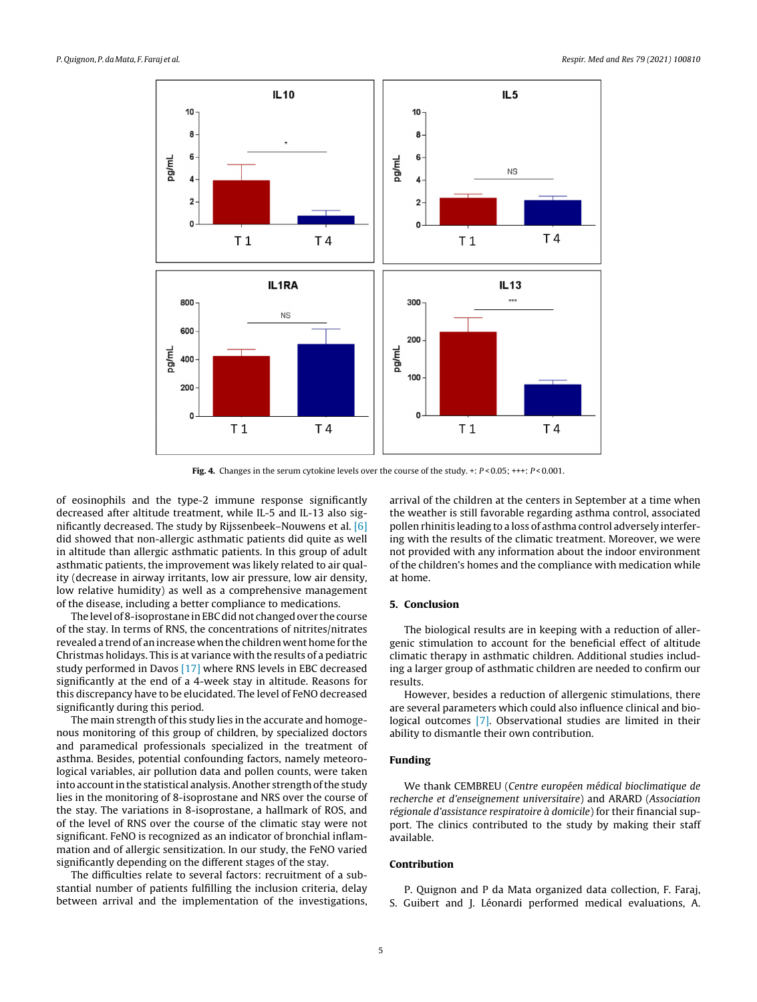<span id="page-4-0"></span>

Fig. 4. Changes in the serum cytokine levels over the course of the study. +:  $P < 0.05$ ; +++:  $P < 0.001$ .

of eosinophils and the type-2 immune response significantly decreased after altitude treatment, while IL-5 and IL-13 also significantly decreased. The study by Rijssenbeek–Nouwens et al. [\[6\]](#page-5-0) did showed that non-allergic asthmatic patients did quite as well in altitude than allergic asthmatic patients. In this group of adult asthmatic patients, the improvement was likely related to air quality (decrease in airway irritants, low air pressure, low air density, low relative humidity) as well as a comprehensive management of the disease, including a better compliance to medications.

The level of 8-isoprostane in EBC did not changed over the course of the stay. In terms of RNS, the concentrations of nitrites/nitrates revealed a trend of an increase when the children went home for the Christmas holidays. This is at variance with the results of a pediatric study performed in Davos [\[17\]](#page-5-0) where RNS levels in EBC decreased significantly at the end of a 4-week stay in altitude. Reasons for this discrepancy have to be elucidated. The level of FeNO decreased significantly during this period.

The main strength of this study lies in the accurate and homogenous monitoring of this group of children, by specialized doctors and paramedical professionals specialized in the treatment of asthma. Besides, potential confounding factors, namely meteorological variables, air pollution data and pollen counts, were taken into account in the statistical analysis. Another strength of the study lies in the monitoring of 8-isoprostane and NRS over the course of the stay. The variations in 8-isoprostane, a hallmark of ROS, and of the level of RNS over the course of the climatic stay were not significant. FeNO is recognized as an indicator of bronchial inflammation and of allergic sensitization. In our study, the FeNO varied significantly depending on the different stages of the stay.

The difficulties relate to several factors: recruitment of a substantial number of patients fulfilling the inclusion criteria, delay between arrival and the implementation of the investigations, arrival of the children at the centers in September at a time when the weather is still favorable regarding asthma control, associated pollen rhinitis leading to a loss of asthma control adversely interfering with the results of the climatic treatment. Moreover, we were not provided with any information about the indoor environment of the children's homes and the compliance with medication while at home.

#### **5. Conclusion**

The biological results are in keeping with a reduction of allergenic stimulation to account for the beneficial effect of altitude climatic therapy in asthmatic children. Additional studies including a larger group of asthmatic children are needed to confirm our results.

However, besides a reduction of allergenic stimulations, there are several parameters which could also influence clinical and biological outcomes [\[7\].](#page-5-0) Observational studies are limited in their ability to dismantle their own contribution.

# **Funding**

We thank CEMBREU (Centre européen médical bioclimatique de recherche et d'enseignement universitaire) and ARARD (Association régionale d'assistance respiratoire à domicile) for their financial support. The clinics contributed to the study by making their staff available.

# **Contribution**

P. Quignon and P da Mata organized data collection, F. Faraj, S. Guibert and J. Léonardi performed medical evaluations, A.